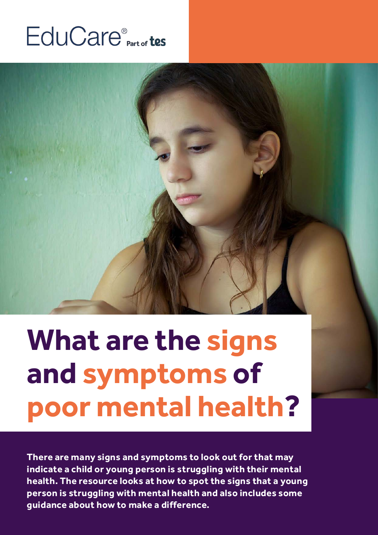## EduCare<sup>®</sup> Part of tes



# **What are the signs and symptoms of poor mental health?**

**There are many signs and symptoms to look out for that may indicate a child or young person is struggling with their mental health. The resource looks at how to spot the signs that a young person is struggling with mental health and also includes some guidance about how to make a difference.**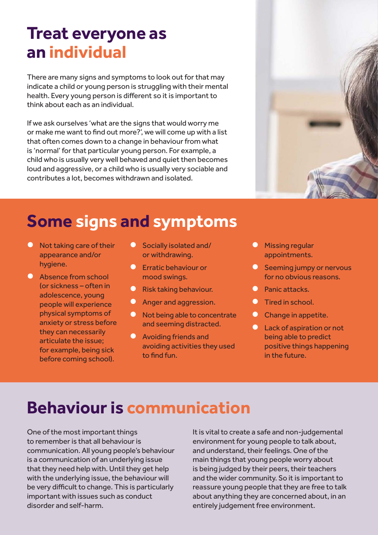#### **Treat everyone as an individual**

There are many signs and symptoms to look out for that may indicate a child or young person is struggling with their mental health. Every young person is different so it is important to think about each as an individual.

If we ask ourselves 'what are the signs that would worry me or make me want to find out more?', we will come up with a list that often comes down to a change in behaviour from what is 'normal' for that particular young person. For example, a child who is usually very well behaved and quiet then becomes loud and aggressive, or a child who is usually very sociable and contributes a lot, becomes withdrawn and isolated.



- $\bullet$  Not taking care of their appearance and/or hygiene.
- **C** Absence from school (or sickness – often in adolescence, young people will experience physical symptoms of anxiety or stress before they can necessarily articulate the issue; for example, being sick before coming school).
- **O** Socially isolated and/ or withdrawing.
- **C** Erratic behaviour or mood swings.
- **O** Risk taking behaviour.
- Anger and aggression.
- **O** Not being able to concentrate and seeming distracted.
- **O** Avoiding friends and avoiding activities they used to find fun.
- **Missing regular** appointments.
- Seeming jumpy or nervous for no obvious reasons.
- **C** Panic attacks.
- **C** Tired in school.
- **C** Change in appetite.
- **l** Lack of aspiration or not being able to predict positive things happening in the future.

#### **Behaviour is communication**

One of the most important things to remember is that all behaviour is communication. All young people's behaviour is a communication of an underlying issue that they need help with. Until they get help with the underlying issue, the behaviour will be very difficult to change. This is particularly important with issues such as conduct disorder and self-harm.

It is vital to create a safe and non-judgemental environment for young people to talk about, and understand, their feelings. One of the main things that young people worry about is being judged by their peers, their teachers and the wider community. So it is important to reassure young people that they are free to talk about anything they are concerned about, in an entirely judgement free environment.

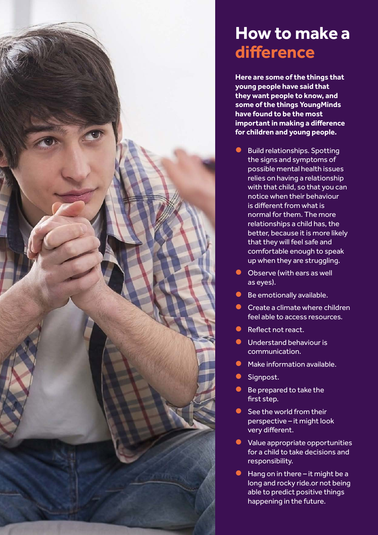

#### **How to make a difference**

**Here are some of the things that young people have said that they want people to know, and some of the things YoungMinds have found to be the most important in making a difference for children and young people.**

- **Build relationships. Spotting** the signs and symptoms of possible mental health issues relies on having a relationship with that child, so that you can notice when their behaviour is different from what is normal for them. The more relationships a child has, the better, because it is more likely that they will feel safe and comfortable enough to speak up when they are struggling.
- **C** Observe (with ears as well as eyes).
- **C** Be emotionally available.
- $\bullet$  Create a climate where children feel able to access resources.
- Reflect not react.
- $\bullet$  Understand behaviour is communication.
- Make information available.
- **C** Signpost.
- **Be prepared to take the** first step.
- $\bullet$  See the world from their perspective – it might look very different.
- **I** Value appropriate opportunities for a child to take decisions and responsibility.
- $\bullet$  Hang on in there it might be a long and rocky ride.or not being able to predict positive things happening in the future.